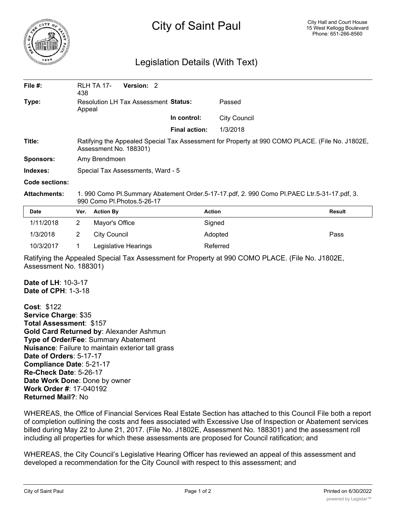

## City of Saint Paul

## Legislation Details (With Text)

| File #:               | 438                                                                                                                        | <b>RLH TA 17-</b><br>Version: 2 |                      |                     |               |
|-----------------------|----------------------------------------------------------------------------------------------------------------------------|---------------------------------|----------------------|---------------------|---------------|
| Type:                 | Resolution LH Tax Assessment Status:<br>Appeal                                                                             |                                 |                      | Passed              |               |
|                       |                                                                                                                            |                                 | In control:          | <b>City Council</b> |               |
|                       |                                                                                                                            |                                 | <b>Final action:</b> | 1/3/2018            |               |
| Title:                | Ratifying the Appealed Special Tax Assessment for Property at 990 COMO PLACE. (File No. J1802E,<br>Assessment No. 188301)  |                                 |                      |                     |               |
| <b>Sponsors:</b>      | Amy Brendmoen                                                                                                              |                                 |                      |                     |               |
| Indexes:              | Special Tax Assessments, Ward - 5                                                                                          |                                 |                      |                     |               |
| <b>Code sections:</b> |                                                                                                                            |                                 |                      |                     |               |
| <b>Attachments:</b>   | 1. 990 Como Pl.Summary Abatement Order.5-17-17.pdf, 2. 990 Como Pl.PAEC Ltr.5-31-17.pdf, 3.<br>990 Como Pl. Photos 5-26-17 |                                 |                      |                     |               |
| Date                  | Ver.                                                                                                                       | <b>Action By</b>                |                      | <b>Action</b>       | <b>Result</b> |
| 1/11/2018             | $\overline{2}$                                                                                                             | Mayor's Office                  |                      | Signed              |               |
| 1/3/2018              | 2                                                                                                                          | <b>City Council</b>             |                      | Adopted             | Pass          |
| 10/3/2017             |                                                                                                                            | Legislative Hearings            |                      | Referred            |               |

Ratifying the Appealed Special Tax Assessment for Property at 990 COMO PLACE. (File No. J1802E, Assessment No. 188301)

**Date of LH**: 10-3-17 **Date of CPH**: 1-3-18

**Cost**: \$122 **Service Charge**: \$35 **Total Assessment**: \$157 **Gold Card Returned by**: Alexander Ashmun **Type of Order/Fee**: Summary Abatement **Nuisance**: Failure to maintain exterior tall grass **Date of Orders**: 5-17-17 **Compliance Date**: 5-21-17 **Re-Check Date**: 5-26-17 **Date Work Done**: Done by owner **Work Order #**: 17-040192 **Returned Mail?**: No

WHEREAS, the Office of Financial Services Real Estate Section has attached to this Council File both a report of completion outlining the costs and fees associated with Excessive Use of Inspection or Abatement services billed during May 22 to June 21, 2017. (File No. J1802E, Assessment No. 188301) and the assessment roll including all properties for which these assessments are proposed for Council ratification; and

WHEREAS, the City Council's Legislative Hearing Officer has reviewed an appeal of this assessment and developed a recommendation for the City Council with respect to this assessment; and